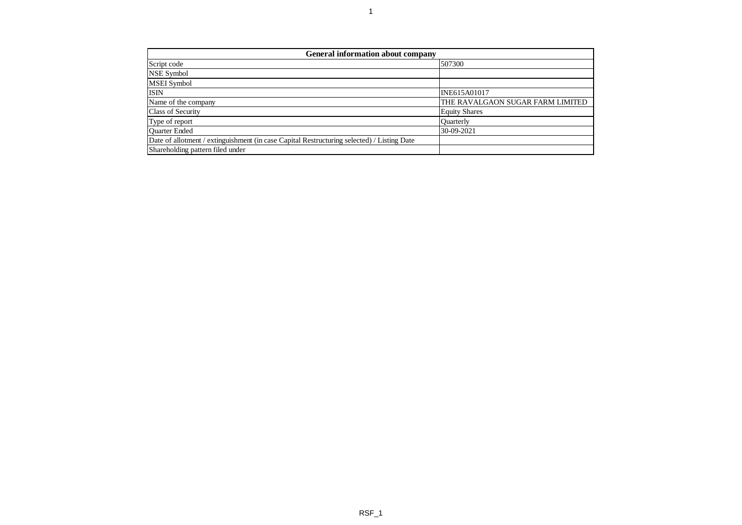| <b>General information about company</b>                                                   |                                  |  |  |  |  |  |  |  |  |
|--------------------------------------------------------------------------------------------|----------------------------------|--|--|--|--|--|--|--|--|
| Script code                                                                                | 507300                           |  |  |  |  |  |  |  |  |
| NSE Symbol                                                                                 |                                  |  |  |  |  |  |  |  |  |
| <b>MSEI</b> Symbol                                                                         |                                  |  |  |  |  |  |  |  |  |
| <b>ISIN</b>                                                                                | INE615A01017                     |  |  |  |  |  |  |  |  |
| Name of the company                                                                        | THE RAVALGAON SUGAR FARM LIMITED |  |  |  |  |  |  |  |  |
| <b>Class of Security</b>                                                                   | <b>Equity Shares</b>             |  |  |  |  |  |  |  |  |
| Type of report                                                                             | <b>Ouarterly</b>                 |  |  |  |  |  |  |  |  |
| <b>Ouarter Ended</b>                                                                       | 30-09-2021                       |  |  |  |  |  |  |  |  |
| Date of allotment / extinguishment (in case Capital Restructuring selected) / Listing Date |                                  |  |  |  |  |  |  |  |  |
| Shareholding pattern filed under                                                           |                                  |  |  |  |  |  |  |  |  |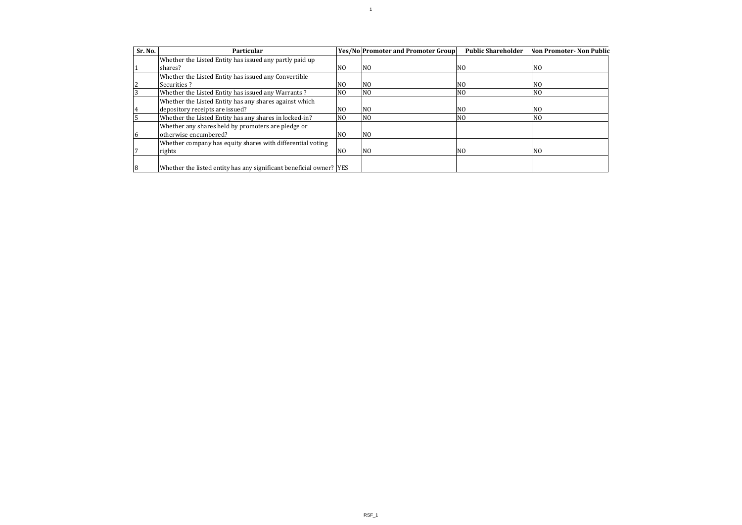| Sr. No. | Particular                                                          |                | <b>Yes/No Promoter and Promoter Group</b> | <b>Public Shareholder</b> | <b>Non Promoter-Non Public</b> |
|---------|---------------------------------------------------------------------|----------------|-------------------------------------------|---------------------------|--------------------------------|
|         | Whether the Listed Entity has issued any partly paid up             |                |                                           |                           |                                |
|         | shares?                                                             | N <sub>0</sub> | N <sub>0</sub>                            | NO.                       | N <sub>O</sub>                 |
|         | Whether the Listed Entity has issued any Convertible                |                |                                           |                           |                                |
|         | Securities?                                                         | N <sub>O</sub> | N <sub>O</sub>                            | NO.                       | NO.                            |
|         | Whether the Listed Entity has issued any Warrants?                  | N <sub>O</sub> | N()                                       | N <sub>O</sub>            | N <sub>O</sub>                 |
|         | Whether the Listed Entity has any shares against which              |                |                                           |                           |                                |
|         | depository receipts are issued?                                     | N <sub>O</sub> | N <sub>O</sub>                            | NO.                       | N <sub>O</sub>                 |
|         | Whether the Listed Entity has any shares in locked-in?              | N <sub>O</sub> | N <sub>O</sub>                            | NO.                       | N <sub>O</sub>                 |
|         | Whether any shares held by promoters are pledge or                  |                |                                           |                           |                                |
|         | otherwise encumbered?                                               | N <sub>O</sub> | N <sub>O</sub>                            |                           |                                |
|         | Whether company has equity shares with differential voting          |                |                                           |                           |                                |
|         | rights                                                              | N <sub>0</sub> | N <sub>O</sub>                            | NO.                       | N <sub>O</sub>                 |
|         |                                                                     |                |                                           |                           |                                |
| 8       | Whether the listed entity has any significant beneficial owner? YES |                |                                           |                           |                                |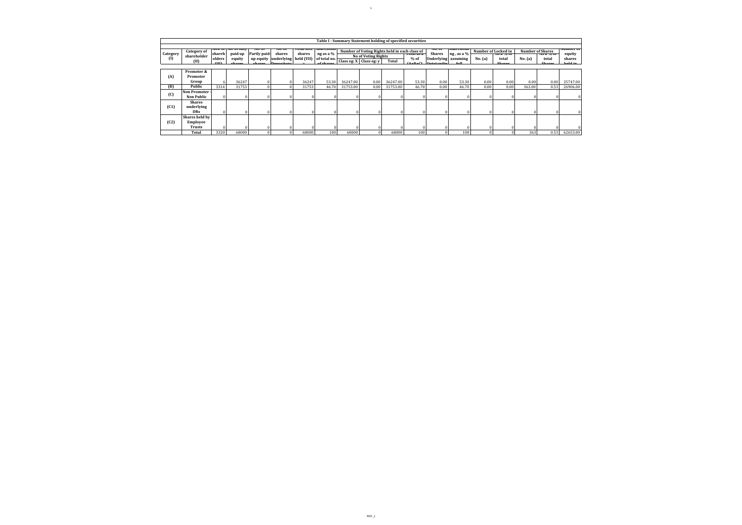|                    | Table I - Summary Statement holding of specified securities                                                                                                                                         |          |         |              |        |                                                                      |           |          |                            |          |            |               |                     |         |             |                  |             |          |
|--------------------|-----------------------------------------------------------------------------------------------------------------------------------------------------------------------------------------------------|----------|---------|--------------|--------|----------------------------------------------------------------------|-----------|----------|----------------------------|----------|------------|---------------|---------------------|---------|-------------|------------------|-------------|----------|
|                    | ivo. Of<br>тоганнох. матенони<br>NOS. 01   NO. 01 IUHV<br>ivo. OI<br><b>IVO. OI</b><br>эпагенони<br>Number of Voting Rights held in each class of<br>Number of Locked in<br><b>Number of Shares</b> |          |         |              |        |                                                                      |           |          |                            |          |            |               |                     |         |             | <b>Number</b> of |             |          |
| Category           | <b>Category of</b><br>shareholder                                                                                                                                                                   | shareh   | paid up | Partly paid- | shares | shares                                                               | ng as a % |          | <b>No of Voting Rights</b> |          | TULAI AS A | <b>Shares</b> | ng, as a %          |         | 715 d 70 UI |                  | 715 d 70 UI |          |
| (1)                | (II)                                                                                                                                                                                                | olders   | equity  |              |        | up equity underlying held (VII) of total no. Class eg: X Class eg: y |           |          |                            | Total    | $%$ of     |               | Underlying assuming | No. (a) | total       | No. (a)          | total       | shares   |
|                    |                                                                                                                                                                                                     | (TT)     | $   -$  |              |        |                                                                      |           |          |                            |          | (1, 0, 0)  | $0$ utetandi  | $c_{-11}$           |         | Chase       |                  | Chase       | hold in  |
|                    | Promoter &                                                                                                                                                                                          |          |         |              |        |                                                                      |           |          |                            |          |            |               |                     |         |             |                  |             |          |
| (A)                | Promoter                                                                                                                                                                                            |          |         |              |        |                                                                      |           |          |                            |          |            |               |                     |         |             |                  |             |          |
|                    | Group                                                                                                                                                                                               | 6        | 36247   |              |        | 36247                                                                | 53.30     | 36247.00 | 0.00                       | 36247.00 | 53.30      | 0.00          | 53.30               | 0.00    | 0.00        | 0.00             | 0.00        | 35747.00 |
| (B)                | Public                                                                                                                                                                                              | 3314     | 31753   |              |        | 31753                                                                | 46.70     | 31753.00 | 0.00                       | 31753.00 | 46.70      | 0.00          | 46.70               | 0.00    | 0.00        | 363.00           | 0.53        | 26906.00 |
| $\left( 0 \right)$ | <b>Non Promoter</b>                                                                                                                                                                                 |          |         |              |        |                                                                      |           |          |                            |          |            |               |                     |         |             |                  |             |          |
|                    | <b>Non Public</b>                                                                                                                                                                                   |          |         |              |        |                                                                      |           |          |                            |          |            |               |                     |         |             |                  |             |          |
|                    | <b>Shares</b>                                                                                                                                                                                       |          |         |              |        |                                                                      |           |          |                            |          |            |               |                     |         |             |                  |             |          |
| (C1)               | underlying                                                                                                                                                                                          |          |         |              |        |                                                                      |           |          |                            |          |            |               |                     |         |             |                  |             |          |
|                    | <b>DRs</b>                                                                                                                                                                                          |          |         |              |        |                                                                      |           |          |                            |          |            |               |                     |         |             |                  |             |          |
|                    | Shares held by                                                                                                                                                                                      |          |         |              |        |                                                                      |           |          |                            |          |            |               |                     |         |             |                  |             |          |
| (C2)               | Employee                                                                                                                                                                                            |          |         |              |        |                                                                      |           |          |                            |          |            |               |                     |         |             |                  |             |          |
|                    | <b>Trusts</b>                                                                                                                                                                                       | $\Omega$ |         |              |        |                                                                      |           |          |                            |          |            |               |                     |         |             |                  |             |          |
|                    | Total                                                                                                                                                                                               | 3320     | 68000   |              |        | 68000                                                                | 100       | 68000    |                            | 68000    | 100        |               | 100                 |         |             | 363              | 0.53        | 62653.00 |

1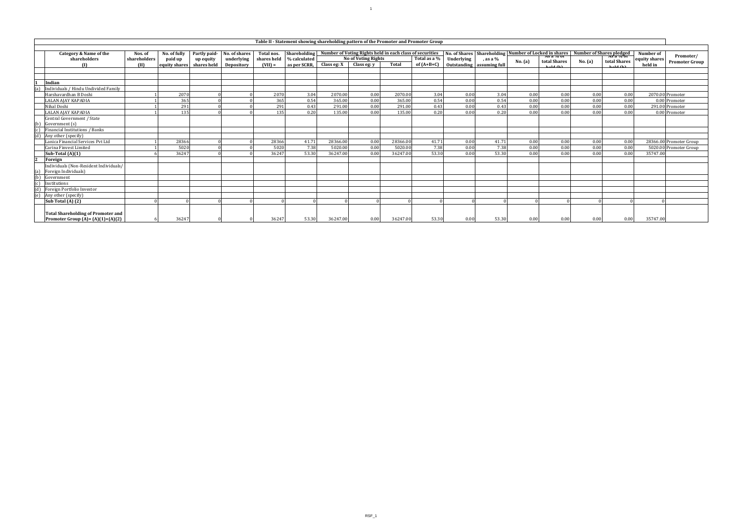|     | Table II - Statement showing shareholding pattern of the Promoter and Promoter Group |                   |                          |                          |                                 |                          |                              |             |                                                          |          |                              |            |                                                                                |         |                                 |         |                          |                                            |
|-----|--------------------------------------------------------------------------------------|-------------------|--------------------------|--------------------------|---------------------------------|--------------------------|------------------------------|-------------|----------------------------------------------------------|----------|------------------------------|------------|--------------------------------------------------------------------------------|---------|---------------------------------|---------|--------------------------|--------------------------------------------|
|     | Category & Name of the                                                               | Nos. of           | No. of fully             | Partly paid-             | No. of shares                   | Total nos.               | Shareholding                 |             | Number of Voting Rights held in each class of securities |          |                              |            | No. of Shares Shareholding Number of Locked in shares Number of Shares pledged |         |                                 |         |                          | Number of<br>Promoter/                     |
|     | shareholders<br>m                                                                    | shareholders<br>m | paid up<br>equity shares | up equity<br>shares held | underlying<br><b>Depository</b> | shares held<br>$(VII) =$ | % calculated<br>as per SCRR. | Class eg: X | <b>No of Voting Rights</b><br>Class eg: y                | Total    | Total as a %<br>$of (A+B+C)$ | Underlying | , as a %<br>Outstanding assuming full                                          | No. (a) | total Shares<br><b>Kold (K)</b> | No. (a) | total Shares<br>hald (h) | equity shares<br>Promoter Group<br>held in |
|     |                                                                                      |                   |                          |                          |                                 |                          |                              |             |                                                          |          |                              |            |                                                                                |         |                                 |         |                          |                                            |
|     | Indian                                                                               |                   |                          |                          |                                 |                          |                              |             |                                                          |          |                              |            |                                                                                |         |                                 |         |                          |                                            |
| (a) | Individuals / Hindu Undivided Family                                                 |                   |                          |                          |                                 |                          |                              |             |                                                          |          |                              |            |                                                                                |         |                                 |         |                          |                                            |
|     | Harshavardhan B Doshi                                                                |                   | 2070                     |                          |                                 | 2070                     | 3.04                         | 2070.00     | 0.00                                                     | 2070.00  | 3.04                         | 0.00       | 3.04                                                                           | 0.00    | 0.00                            | 0.00    | 0.00                     | 2070.00 Promoter                           |
|     | <b>LALAN AIAY KAPADIA</b>                                                            |                   | 365                      |                          |                                 | 365                      | 0.54                         | 365.00      | 0.00                                                     | 365.00   | 0.54                         | 0.00       | 0.54                                                                           | 0.00    | 0.00                            | 0.00    | 0.00                     | 0.00 Promoter                              |
|     | Nihal Doshi                                                                          |                   | 291                      |                          |                                 | 291                      | 0.43                         | 291.00      | 0.00                                                     | 291.00   | 0.43                         | 0.00       | 0.43                                                                           | 0.00    | 0.00                            | 0.00    | 0.00                     | 291.00 Promoter                            |
|     | <b>LALAN AIAY KAPADIA</b>                                                            |                   | 135                      |                          |                                 | 135                      | 0.20                         | 135.00      | 0.00                                                     | 135.00   | 0.20                         | 0.00       | 0.20                                                                           | 0.00    | 0.00                            | 0.00    | 0.00                     | 0.00 Promoter                              |
|     | Central Government / State                                                           |                   |                          |                          |                                 |                          |                              |             |                                                          |          |                              |            |                                                                                |         |                                 |         |                          |                                            |
| (b) | Government (s)                                                                       |                   |                          |                          |                                 |                          |                              |             |                                                          |          |                              |            |                                                                                |         |                                 |         |                          |                                            |
| (c) | Financial Institutions / Banks                                                       |                   |                          |                          |                                 |                          |                              |             |                                                          |          |                              |            |                                                                                |         |                                 |         |                          |                                            |
| (d) | Any other (specify)                                                                  |                   |                          |                          |                                 |                          |                              |             |                                                          |          |                              |            |                                                                                |         |                                 |         |                          |                                            |
|     | Lanica Financial Services Pvt Ltd                                                    |                   | 28366                    |                          |                                 | 28366                    | 41.71                        | 28366.00    | 0.00                                                     | 28366.00 | 41.71                        | 0.00       | 41.71                                                                          | 0.00    | 0.00                            | 0.00    | 0.00                     | 28366.00 Promoter Group                    |
|     | Carina Finvest Limited                                                               |                   | 5020                     |                          |                                 | 5020                     | 7.38                         | 5020.00     | 0.00                                                     | 5020.00  | 7.38                         | 0.00       | 7.38                                                                           | 0.00    | 0.00                            | 0.00    | 0.00                     | 5020.00 Promoter Group                     |
|     | Sub-Total $(A)(1)$                                                                   |                   | 36247                    |                          |                                 | 36247                    | 53.30                        | 36247.00    | 0.00                                                     | 36247.00 | 53.30                        | 0.00       | 53.30                                                                          | 0.00    | 0.00                            | 0.00    | 0.00                     | 35747.00                                   |
|     | Foreign                                                                              |                   |                          |                          |                                 |                          |                              |             |                                                          |          |                              |            |                                                                                |         |                                 |         |                          |                                            |
|     | Individuals (Non-Resident Individuals/                                               |                   |                          |                          |                                 |                          |                              |             |                                                          |          |                              |            |                                                                                |         |                                 |         |                          |                                            |
| (a) | Foreign Individuals)                                                                 |                   |                          |                          |                                 |                          |                              |             |                                                          |          |                              |            |                                                                                |         |                                 |         |                          |                                            |
| (b) | Government                                                                           |                   |                          |                          |                                 |                          |                              |             |                                                          |          |                              |            |                                                                                |         |                                 |         |                          |                                            |
| (c) | Institutions                                                                         |                   |                          |                          |                                 |                          |                              |             |                                                          |          |                              |            |                                                                                |         |                                 |         |                          |                                            |
| (d) | Foreign Portfolio Investor                                                           |                   |                          |                          |                                 |                          |                              |             |                                                          |          |                              |            |                                                                                |         |                                 |         |                          |                                            |
|     | (e) Any other (specify)                                                              |                   |                          |                          |                                 |                          |                              |             |                                                          |          |                              |            |                                                                                |         |                                 |         |                          |                                            |
|     | Sub Total (A) (2)                                                                    |                   |                          |                          |                                 |                          |                              |             |                                                          |          |                              |            |                                                                                |         |                                 |         |                          |                                            |
|     | <b>Total Shareholding of Promoter and</b>                                            |                   |                          |                          |                                 |                          |                              |             |                                                          |          |                              |            |                                                                                |         |                                 |         |                          |                                            |
|     | Promoter Group $(A) = (A)(1)+(A)(2)$                                                 |                   | 36247                    |                          |                                 | 36247                    | 53.30                        | 36247.00    | 0.00                                                     | 36247.00 | 53.30                        | 0.00       | 53.30                                                                          | 0.00    | 0.00                            | 0.00    | 0.00                     | 35747.00                                   |

 $11<sup>1</sup>$